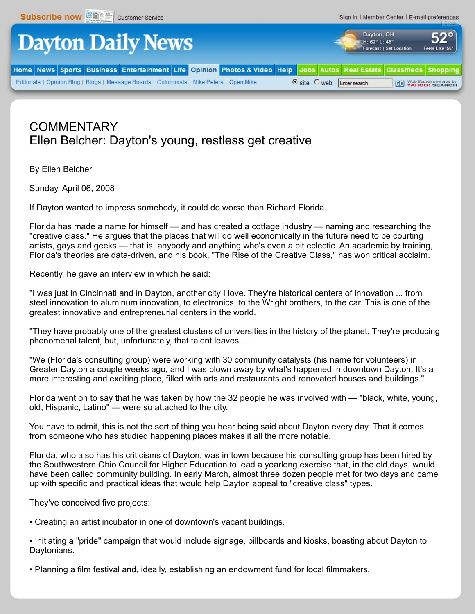

## **COMMENTARY** Ellen Belcher: Dayton's young, restless get creative

By Ellen Belcher

Sunday, April 06, 2008

If Dayton wanted to impress somebody, it could do worse than Richard Florida.

Florida has made a name for himself — and has created a cottage industry — naming and researching the "creative class." He argues that the places that will do well economically in the future need to be courting artists, gays and geeks — that is, anybody and anything who's even a bit eclectic. An academic by training, Florida's theories are data-driven, and his book, "The Rise of the Creative Class," has won critical acclaim.

Recently, he gave an interview in which he said:

"I was just in Cincinnati and in Dayton, another city I love. They're historical centers of innovation ... from steel innovation to aluminum innovation, to electronics, to the Wright brothers, to the car. This is one of the greatest innovative and entrepreneurial centers in the world.

"They have probably one of the greatest clusters of universities in the history of the planet. They're producing phenomenal talent, but, unfortunately, that talent leaves. ...

"We (Florida's consulting group) were working with 30 community catalysts (his name for volunteers) in Greater Dayton a couple weeks ago, and I was blown away by what's happened in downtown Dayton. It's a more interesting and exciting place, filled with arts and restaurants and renovated houses and buildings."

Florida went on to say that he was taken by how the 32 people he was involved with — "black, white, young, old, Hispanic, Latino" — were so attached to the city.

You have to admit, this is not the sort of thing you hear being said about Dayton every day. That it comes from someone who has studied happening places makes it all the more notable.

Florida, who also has his criticisms of Dayton, was in town because his consulting group has been hired by the Southwestern Ohio Council for Higher Education to lead a yearlong exercise that, in the old days, would have been called community building. In early March, almost three dozen people met for two days and came up with specific and practical ideas that would help Dayton appeal to "creative class" types.

They've conceived five projects:

• Creating an artist incubator in one of downtown's vacant buildings.

• Initiating a "pride" campaign that would include signage, billboards and kiosks, boasting about Dayton to Daytonians.

• Planning a film festival and, ideally, establishing an endowment fund for local filmmakers.